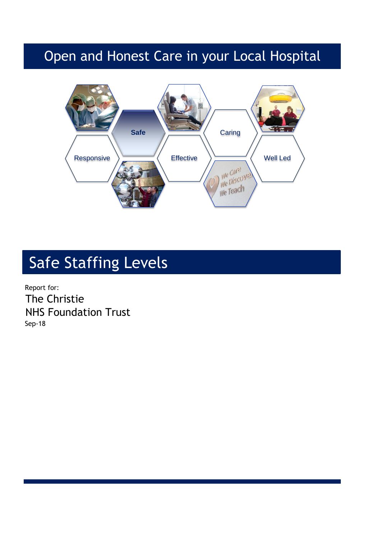## Open and Honest Care in your Local Hospital



# Safe Staffing Levels

Report for: The Christie NHS Foundation Trust Sep-18